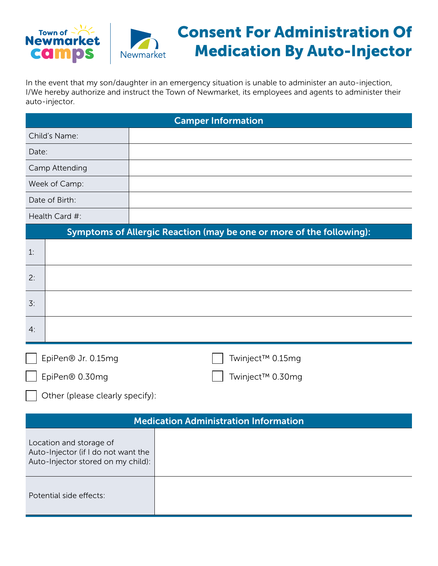



## Consent For Administration Of Medication By Auto-Injector

In the event that my son/daughter in an emergency situation is unable to administer an auto-injection, I/We hereby authorize and instruct the Town of Newmarket, its employees and agents to administer their auto-injector.

| <b>Camper Information</b>                                                                            |                  |  |
|------------------------------------------------------------------------------------------------------|------------------|--|
| Child's Name:                                                                                        |                  |  |
| Date:                                                                                                |                  |  |
| Camp Attending                                                                                       |                  |  |
| Week of Camp:                                                                                        |                  |  |
| Date of Birth:                                                                                       |                  |  |
| Health Card #:                                                                                       |                  |  |
| Symptoms of Allergic Reaction (may be one or more of the following):                                 |                  |  |
| 1:                                                                                                   |                  |  |
| 2:                                                                                                   |                  |  |
| 3:                                                                                                   |                  |  |
| 4:                                                                                                   |                  |  |
| EpiPen® Jr. 0.15mg                                                                                   | Twinject™ 0.15mg |  |
| EpiPen® 0.30mg                                                                                       | Twinject™ 0.30mg |  |
| Other (please clearly specify):                                                                      |                  |  |
| <b>Medication Administration Information</b>                                                         |                  |  |
| Location and storage of<br>Auto-Injector (if I do not want the<br>Auto-Injector stored on my child): |                  |  |
| Potential side effects:                                                                              |                  |  |